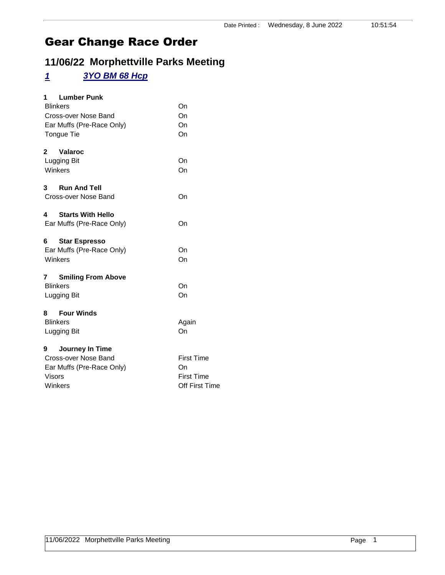## **11/06/22 Morphettville Parks Meeting**

### *1 3YO BM 68 Hcp*

| <b>Lumber Punk</b><br>1<br><b>Blinkers</b><br>Cross-over Nose Band<br>Ear Muffs (Pre-Race Only)<br>Tongue Tie | On<br>On<br>On<br>On                                           |
|---------------------------------------------------------------------------------------------------------------|----------------------------------------------------------------|
| 2<br>Valaroc<br>Lugging Bit<br>Winkers                                                                        | On<br>On                                                       |
| <b>Run And Tell</b><br>3<br>Cross-over Nose Band                                                              | On                                                             |
| 4<br><b>Starts With Hello</b><br>Ear Muffs (Pre-Race Only)                                                    | On                                                             |
| 6<br><b>Star Espresso</b><br>Ear Muffs (Pre-Race Only)<br>Winkers                                             | On<br>On                                                       |
| <b>Smiling From Above</b><br>7<br><b>Blinkers</b><br>Lugging Bit                                              | On<br>On                                                       |
| <b>Four Winds</b><br>8<br><b>Blinkers</b><br>Lugging Bit                                                      | Again<br>On                                                    |
| Journey In Time<br>9<br>Cross-over Nose Band<br>Ear Muffs (Pre-Race Only)<br><b>Visors</b><br>Winkers         | <b>First Time</b><br>On<br><b>First Time</b><br>Off First Time |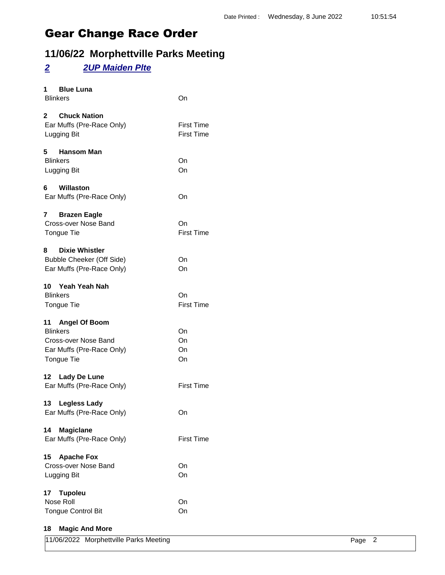## **11/06/22 Morphettville Parks Meeting**

### *2 2UP Maiden Plte*

| <b>Blue Luna</b><br>1<br><b>Blinkers</b>                                                                      | On                                     |
|---------------------------------------------------------------------------------------------------------------|----------------------------------------|
| 2 Chuck Nation<br>Ear Muffs (Pre-Race Only)<br>Lugging Bit                                                    | <b>First Time</b><br><b>First Time</b> |
| 5<br><b>Hansom Man</b><br><b>Blinkers</b><br>Lugging Bit                                                      | On<br>On                               |
| Willaston<br>6<br>Ear Muffs (Pre-Race Only)                                                                   | On                                     |
| 7<br><b>Brazen Eagle</b><br>Cross-over Nose Band<br><b>Tongue Tie</b>                                         | On<br><b>First Time</b>                |
| <b>Dixie Whistler</b><br>8<br>Bubble Cheeker (Off Side)<br>Ear Muffs (Pre-Race Only)                          | On<br>On                               |
| Yeah Yeah Nah<br>10<br><b>Blinkers</b><br><b>Tongue Tie</b>                                                   | On<br><b>First Time</b>                |
| 11 Angel Of Boom<br><b>Blinkers</b><br>Cross-over Nose Band<br>Ear Muffs (Pre-Race Only)<br><b>Tongue Tie</b> | On<br>On<br>On<br>On                   |
| 12 Lady De Lune<br>Ear Muffs (Pre-Race Only)                                                                  | <b>First Time</b>                      |
| 13<br><b>Legless Lady</b><br>Ear Muffs (Pre-Race Only)                                                        | On                                     |
| <b>Magiclane</b><br>14<br>Ear Muffs (Pre-Race Only)                                                           | <b>First Time</b>                      |
| <b>Apache Fox</b><br>15<br>Cross-over Nose Band<br>Lugging Bit                                                | On<br>On                               |
| 17<br><b>Tupoleu</b><br>Nose Roll<br><b>Tongue Control Bit</b>                                                | On<br>On                               |
| 10 Mooic And More                                                                                             |                                        |

#### **18 Magic And More**

| 11/06/2022 Morphettville Parks Meeting | Page 2 |  |
|----------------------------------------|--------|--|
|----------------------------------------|--------|--|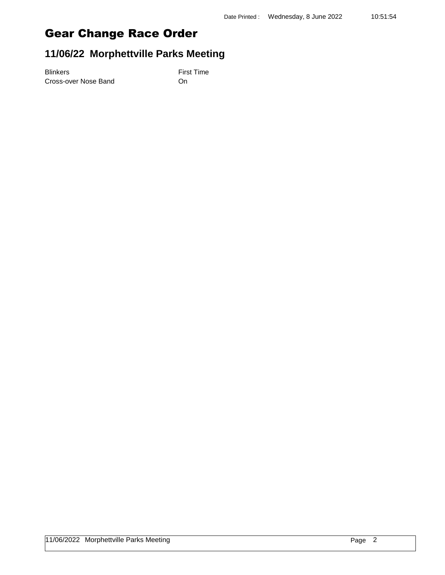## **11/06/22 Morphettville Parks Meeting**

Blinkers First Time Cross-over Nose Band On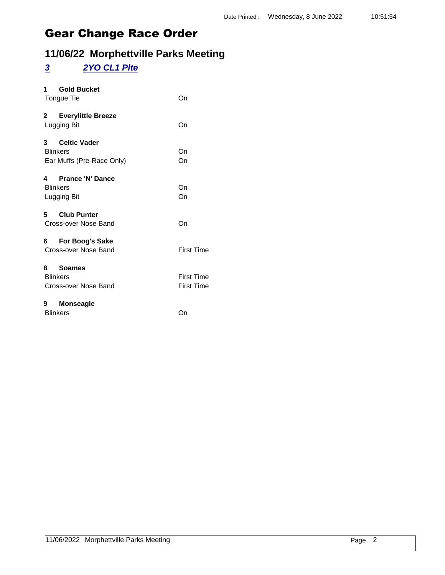## **11/06/22 Morphettville Parks Meeting**

### *3 2YO CL1 Plte*

| 1<br><b>Gold Bucket</b><br>Tongue Tie                                               | On                                     |
|-------------------------------------------------------------------------------------|----------------------------------------|
| $2^{\sim}$<br><b>Everylittle Breeze</b><br>Lugging Bit                              | On                                     |
| $\mathbf{3}$<br><b>Celtic Vader</b><br><b>Blinkers</b><br>Ear Muffs (Pre-Race Only) | On<br>On                               |
| <b>Prance 'N' Dance</b><br>4<br><b>Blinkers</b><br>Lugging Bit                      | On<br>On                               |
| 5<br><b>Club Punter</b><br>Cross-over Nose Band                                     | On                                     |
| 6 For Boog's Sake<br>Cross-over Nose Band                                           | <b>First Time</b>                      |
| Soames<br>8.<br><b>Blinkers</b><br>Cross-over Nose Band                             | <b>First Time</b><br><b>First Time</b> |
| 9<br><b>Monseagle</b><br><b>Blinkers</b>                                            | On                                     |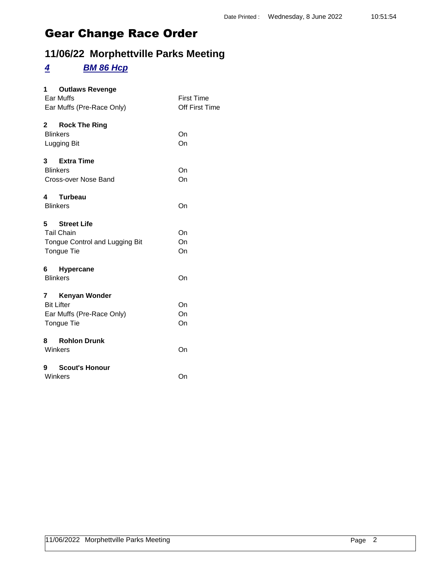## **11/06/22 Morphettville Parks Meeting**

#### *4 BM 86 Hcp*

| 1 $\overline{\phantom{a}}$<br><b>Outlaws Revenge</b><br>Ear Muffs<br>Ear Muffs (Pre-Race Only) | <b>First Time</b><br>Off First Time |
|------------------------------------------------------------------------------------------------|-------------------------------------|
| $\mathbf{2}$<br><b>Rock The Ring</b><br><b>Blinkers</b><br>Lugging Bit                         | On<br>On                            |
| 3 Extra Time<br><b>Blinkers</b><br>Cross-over Nose Band                                        | On<br>On                            |
| <b>Turbeau</b><br>4<br><b>Blinkers</b>                                                         | On                                  |
| 5 Street Life<br><b>Tail Chain</b><br>Tongue Control and Lugging Bit<br>Tongue Tie             | On<br>On<br>On                      |
| <b>Hypercane</b><br><b>Blinkers</b>                                                            | On                                  |
| 7 Kenyan Wonder<br><b>Bit Lifter</b><br>Ear Muffs (Pre-Race Only)<br>Tongue Tie                | On<br>On<br>On                      |
| 8 Rohlon Drunk<br>Winkers                                                                      | On                                  |
| <b>Scout's Honour</b><br>9<br>Winkers                                                          | On                                  |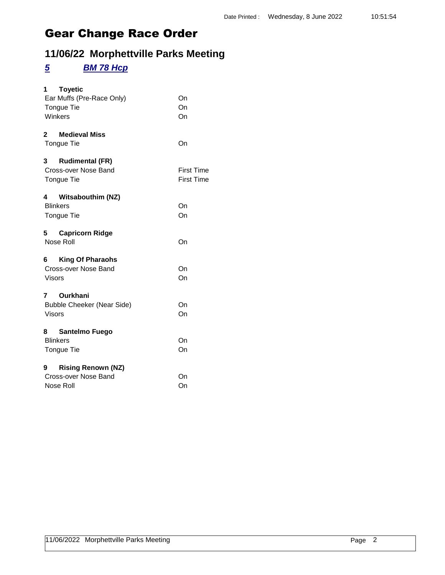## **11/06/22 Morphettville Parks Meeting**

#### *5 BM 78 Hcp*

| 1.<br><b>Toyetic</b><br>Ear Muffs (Pre-Race Only)<br>Tongue Tie<br>Winkers  | On<br>On<br>On                         |
|-----------------------------------------------------------------------------|----------------------------------------|
| <b>Medieval Miss</b><br>2<br>Tongue Tie                                     | On                                     |
| <b>Rudimental (FR)</b><br>$3^{\circ}$<br>Cross-over Nose Band<br>Tongue Tie | <b>First Time</b><br><b>First Time</b> |
| 4 Witsabouthim (NZ)<br><b>Blinkers</b><br><b>Tongue Tie</b>                 | On<br>On                               |
| 5 Capricorn Ridge<br>Nose Roll                                              | On                                     |
| 6 King Of Pharaohs<br>Cross-over Nose Band<br><b>Visors</b>                 | On<br>On                               |
| Ourkhani<br>7<br><b>Bubble Cheeker (Near Side)</b><br><b>Visors</b>         | On<br>On                               |
| 8 Santelmo Fuego<br><b>Blinkers</b><br>Tongue Tie                           | On<br>On                               |
| <b>Rising Renown (NZ)</b><br>9<br>Cross-over Nose Band<br>Nose Roll         | On<br>On                               |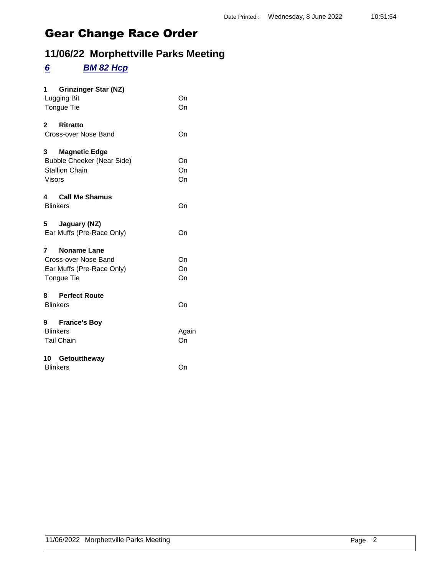## **11/06/22 Morphettville Parks Meeting**

### *6 BM 82 Hcp*

| <b>Grinzinger Star (NZ)</b><br>1<br>Lugging Bit<br>Tongue Tie                                            | On<br>On       |
|----------------------------------------------------------------------------------------------------------|----------------|
| $2^{\circ}$<br><b>Ritratto</b><br>Cross-over Nose Band                                                   | On             |
| <b>Magnetic Edge</b><br>3<br><b>Bubble Cheeker (Near Side)</b><br><b>Stallion Chain</b><br><b>Visors</b> | On<br>On<br>On |
| 4 Call Me Shamus<br><b>Blinkers</b>                                                                      | On             |
| 5 Jaguary (NZ)<br>Ear Muffs (Pre-Race Only)                                                              | On             |
| <b>Noname Lane</b><br>7<br>Cross-over Nose Band<br>Ear Muffs (Pre-Race Only)<br>Tongue Tie               | On<br>On<br>On |
| 8 Perfect Route<br><b>Blinkers</b>                                                                       | On             |
| <b>France's Boy</b><br>9<br><b>Blinkers</b><br><b>Tail Chain</b>                                         | Again<br>On    |
| Getouttheway<br>10 -<br><b>Blinkers</b>                                                                  | On             |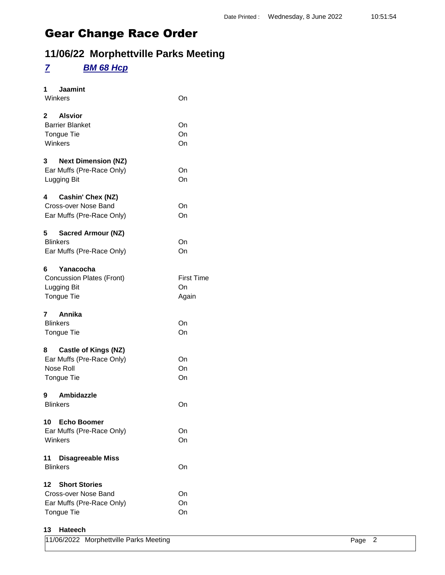## **11/06/22 Morphettville Parks Meeting**

### *7 BM 68 Hcp*

| <b>Jaamint</b><br>1<br>Winkers                                                                | On                               |
|-----------------------------------------------------------------------------------------------|----------------------------------|
| 2 Alsvior<br><b>Barrier Blanket</b><br>Tongue Tie<br>Winkers                                  | On<br>On<br>On                   |
| 3<br><b>Next Dimension (NZ)</b><br>Ear Muffs (Pre-Race Only)<br>Lugging Bit                   | On<br>On                         |
| Cashin' Chex (NZ)<br>4<br>Cross-over Nose Band<br>Ear Muffs (Pre-Race Only)                   | On<br>On                         |
| 5<br><b>Sacred Armour (NZ)</b><br><b>Blinkers</b><br>Ear Muffs (Pre-Race Only)                | On<br>On                         |
| 6<br>Yanacocha<br><b>Concussion Plates (Front)</b><br>Lugging Bit<br><b>Tongue Tie</b>        | <b>First Time</b><br>On<br>Again |
| 7 Annika<br><b>Blinkers</b><br>Tongue Tie                                                     | On<br>On                         |
| 8<br><b>Castle of Kings (NZ)</b><br>Ear Muffs (Pre-Race Only)<br>Nose Roll<br>Tongue Tie      | On<br>On<br>On                   |
| Ambidazzle<br>9<br><b>Blinkers</b>                                                            | On                               |
| 10 Echo Boomer<br>Ear Muffs (Pre-Race Only)<br>Winkers                                        | On<br>On                         |
| 11<br><b>Disagreeable Miss</b><br><b>Blinkers</b>                                             | On                               |
| <b>Short Stories</b><br>12<br>Cross-over Nose Band<br>Ear Muffs (Pre-Race Only)<br>Tongue Tie | On<br>On<br>On                   |
| 13<br>Hateech                                                                                 |                                  |

| 11/06/2022 Morphettville Parks Meeting | Page |  |
|----------------------------------------|------|--|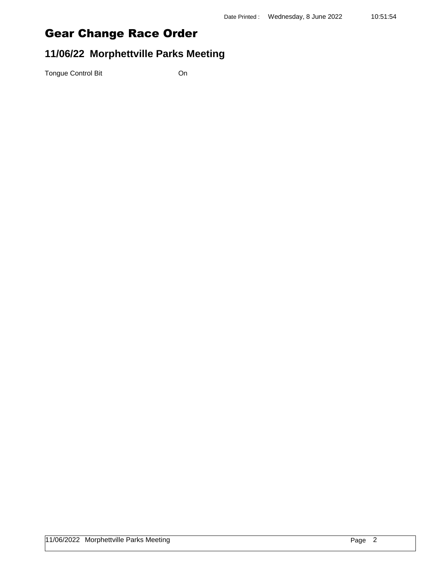## **11/06/22 Morphettville Parks Meeting**

Tongue Control Bit **On**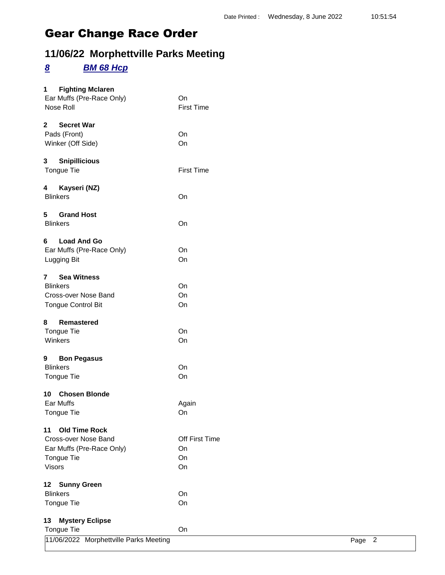## **11/06/22 Morphettville Parks Meeting**

#### *8 BM 68 Hcp*

| <b>Fighting Mclaren</b><br>1 $\overline{\phantom{a}}$<br>Ear Muffs (Pre-Race Only)<br>Nose Roll                       | On<br><b>First Time</b>          |
|-----------------------------------------------------------------------------------------------------------------------|----------------------------------|
| 2<br><b>Secret War</b><br>Pads (Front)<br>Winker (Off Side)                                                           | On<br>On                         |
| <b>Snipillicious</b><br>3.<br>Tongue Tie                                                                              | <b>First Time</b>                |
| Kayseri (NZ)<br>4<br><b>Blinkers</b>                                                                                  | On                               |
| 5 Grand Host<br><b>Blinkers</b>                                                                                       | On                               |
| 6<br><b>Load And Go</b><br>Ear Muffs (Pre-Race Only)<br>Lugging Bit                                                   | On<br>On                         |
| <b>Sea Witness</b><br>7<br><b>Blinkers</b><br>Cross-over Nose Band<br><b>Tongue Control Bit</b>                       | On<br>On<br>On                   |
| 8<br><b>Remastered</b><br>Tongue Tie<br>Winkers                                                                       | On<br>On                         |
| 9<br><b>Bon Pegasus</b><br><b>Blinkers</b><br><b>Tongue Tie</b>                                                       | On<br>On                         |
| 10 Chosen Blonde<br>Ear Muffs<br>Tongue Tie                                                                           | Again<br>On                      |
| <b>Old Time Rock</b><br>11<br>Cross-over Nose Band<br>Ear Muffs (Pre-Race Only)<br><b>Tongue Tie</b><br><b>Visors</b> | Off First Time<br>On<br>On<br>On |
| 12<br><b>Sunny Green</b><br><b>Blinkers</b><br>Tongue Tie                                                             | On<br>On                         |
| 13<br><b>Mystery Eclipse</b><br>Tongue Tie                                                                            | On                               |

| Tongue Tie |                                        |      |  |
|------------|----------------------------------------|------|--|
|            | 11/06/2022 Morphettville Parks Meeting | Page |  |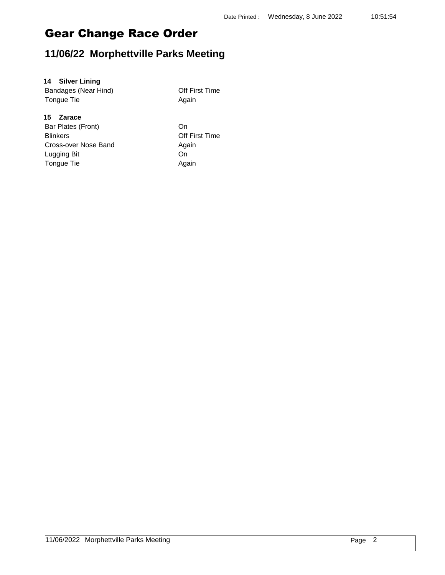### **11/06/22 Morphettville Parks Meeting**

#### **14 Silver Lining**

Bandages (Near Hind) **Depay in Alleman Contract Principle Principle Principle Principle Principle Principle Principle Principle Principle Principle Principle Principle Principle Principle Principle Principle Principle Prin** Tongue Tie **Again** Again

#### **15 Zarace**

Bar Plates (Front) On Blinkers Off First Time Cross-over Nose Band Again Lugging Bit On Tongue Tie **Again**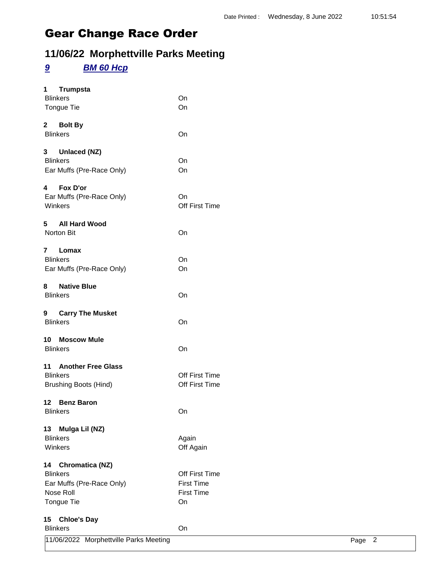## **11/06/22 Morphettville Parks Meeting**

## *9 BM 60 Hcp*

| <b>Trumpsta</b><br>1<br><b>Blinkers</b><br>Tongue Tie | On<br>On          |      |                |
|-------------------------------------------------------|-------------------|------|----------------|
| 2 Bolt By<br><b>Blinkers</b>                          | On                |      |                |
| 3 Unlaced (NZ)                                        |                   |      |                |
| <b>Blinkers</b>                                       | On                |      |                |
| Ear Muffs (Pre-Race Only)                             | On                |      |                |
| Fox D'or<br>4                                         |                   |      |                |
| Ear Muffs (Pre-Race Only)                             | On                |      |                |
| Winkers                                               | Off First Time    |      |                |
| <b>All Hard Wood</b><br>5                             |                   |      |                |
| Norton Bit                                            | On                |      |                |
| $\mathbf{7}$<br>Lomax                                 |                   |      |                |
| <b>Blinkers</b>                                       | On                |      |                |
| Ear Muffs (Pre-Race Only)                             | On                |      |                |
| <b>Native Blue</b><br>8                               |                   |      |                |
| <b>Blinkers</b>                                       | On                |      |                |
| 9 Carry The Musket                                    |                   |      |                |
| <b>Blinkers</b>                                       | On                |      |                |
| 10 Moscow Mule                                        |                   |      |                |
| <b>Blinkers</b>                                       | On                |      |                |
| 11 Another Free Glass                                 |                   |      |                |
| <b>Blinkers</b>                                       | Off First Time    |      |                |
| <b>Brushing Boots (Hind)</b>                          | Off First Time    |      |                |
| 12 Benz Baron                                         |                   |      |                |
| <b>Blinkers</b>                                       | On                |      |                |
| Mulga Lil (NZ)<br>13                                  |                   |      |                |
| <b>Blinkers</b>                                       | Again             |      |                |
| Winkers                                               | Off Again         |      |                |
| 14 Chromatica (NZ)                                    |                   |      |                |
| <b>Blinkers</b>                                       | Off First Time    |      |                |
| Ear Muffs (Pre-Race Only)                             | <b>First Time</b> |      |                |
| Nose Roll                                             | <b>First Time</b> |      |                |
| Tongue Tie                                            | On                |      |                |
| <b>Chloe's Day</b><br>15 <sub>1</sub>                 |                   |      |                |
| <b>Blinkers</b>                                       | On                |      |                |
| 11/06/2022 Morphettville Parks Meeting                |                   | Page | $\overline{2}$ |